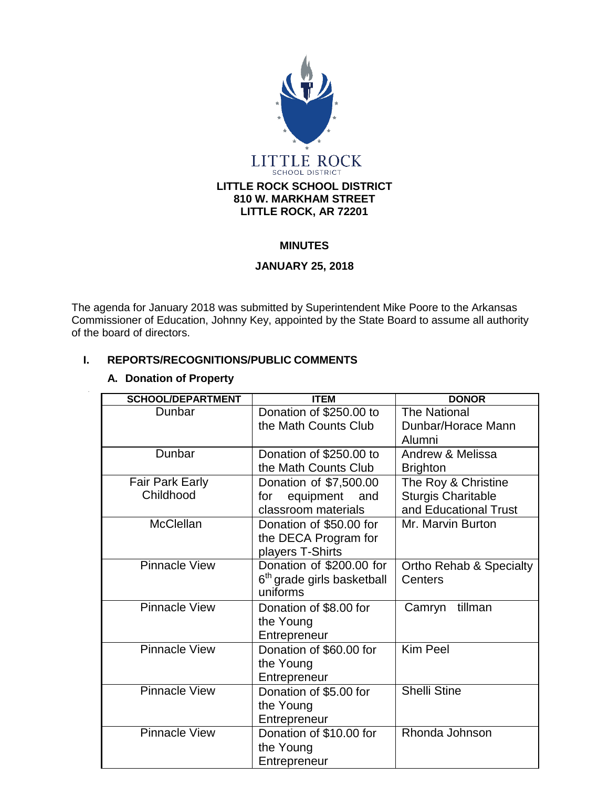

#### **MINUTES**

## **JANUARY 25, 2018**

The agenda for January 2018 was submitted by Superintendent Mike Poore to the Arkansas Commissioner of Education, Johnny Key, appointed by the State Board to assume all authority of the board of directors.

## **I. REPORTS/RECOGNITIONS/PUBLIC COMMENTS**

| <b>SCHOOL/DEPARTMENT</b> | <b>ITEM</b>                            | <b>DONOR</b>                       |
|--------------------------|----------------------------------------|------------------------------------|
| Dunbar                   | Donation of \$250.00 to                | <b>The National</b>                |
|                          | the Math Counts Club                   | Dunbar/Horace Mann                 |
|                          |                                        | Alumni                             |
| Dunbar                   | Donation of \$250.00 to                | Andrew & Melissa                   |
|                          | the Math Counts Club                   | <b>Brighton</b>                    |
| <b>Fair Park Early</b>   | Donation of \$7,500.00                 | The Roy & Christine                |
| Childhood                | equipment and<br>for                   | <b>Sturgis Charitable</b>          |
|                          | classroom materials                    | and Educational Trust              |
| <b>McClellan</b>         | Donation of \$50.00 for                | Mr. Marvin Burton                  |
|                          | the DECA Program for                   |                                    |
|                          | players T-Shirts                       |                                    |
| <b>Pinnacle View</b>     | Donation of \$200.00 for               | <b>Ortho Rehab &amp; Specialty</b> |
|                          | 6 <sup>th</sup> grade girls basketball | Centers                            |
|                          | uniforms                               |                                    |
| <b>Pinnacle View</b>     | Donation of \$8.00 for                 | tillman<br>Camryn                  |
|                          | the Young                              |                                    |
|                          | Entrepreneur                           |                                    |
| <b>Pinnacle View</b>     | Donation of \$60.00 for                | Kim Peel                           |
|                          | the Young                              |                                    |
|                          | Entrepreneur                           |                                    |
| <b>Pinnacle View</b>     | Donation of \$5.00 for                 | <b>Shelli Stine</b>                |
|                          | the Young                              |                                    |
|                          | Entrepreneur                           |                                    |
| <b>Pinnacle View</b>     | Donation of \$10.00 for                | Rhonda Johnson                     |
|                          | the Young                              |                                    |
|                          | Entrepreneur                           |                                    |

#### **A. Donation of Property**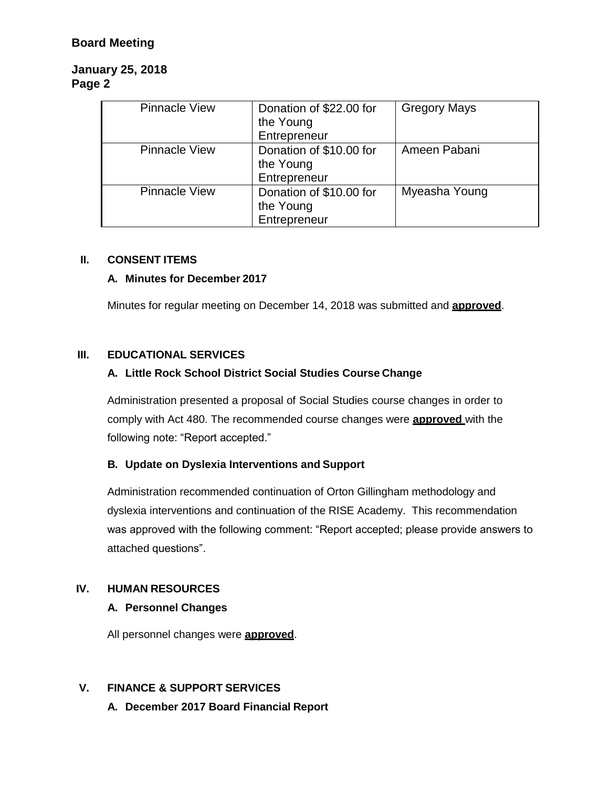# **Board Meeting**

# **January 25, 2018 Page 2**

| <b>Pinnacle View</b> | Donation of \$22.00 for<br>the Young<br>Entrepreneur | <b>Gregory Mays</b> |
|----------------------|------------------------------------------------------|---------------------|
| <b>Pinnacle View</b> | Donation of \$10.00 for<br>the Young<br>Entrepreneur | Ameen Pabani        |
| <b>Pinnacle View</b> | Donation of \$10.00 for<br>the Young<br>Entrepreneur | Myeasha Young       |

#### **II. CONSENT ITEMS**

## **A. Minutes for December 2017**

Minutes for regular meeting on December 14, 2018 was submitted and **approved**.

## **III. EDUCATIONAL SERVICES**

## **A. Little Rock School District Social Studies Course Change**

Administration presented a proposal of Social Studies course changes in order to comply with Act 480. The recommended course changes were **approved** with the following note: "Report accepted."

#### **B. Update on Dyslexia Interventions and Support**

Administration recommended continuation of Orton Gillingham methodology and dyslexia interventions and continuation of the RISE Academy. This recommendation was approved with the following comment: "Report accepted; please provide answers to attached questions".

#### **IV. HUMAN RESOURCES**

## **A. Personnel Changes**

All personnel changes were **approved**.

# **V. FINANCE & SUPPORT SERVICES**

**A. December 2017 Board Financial Report**